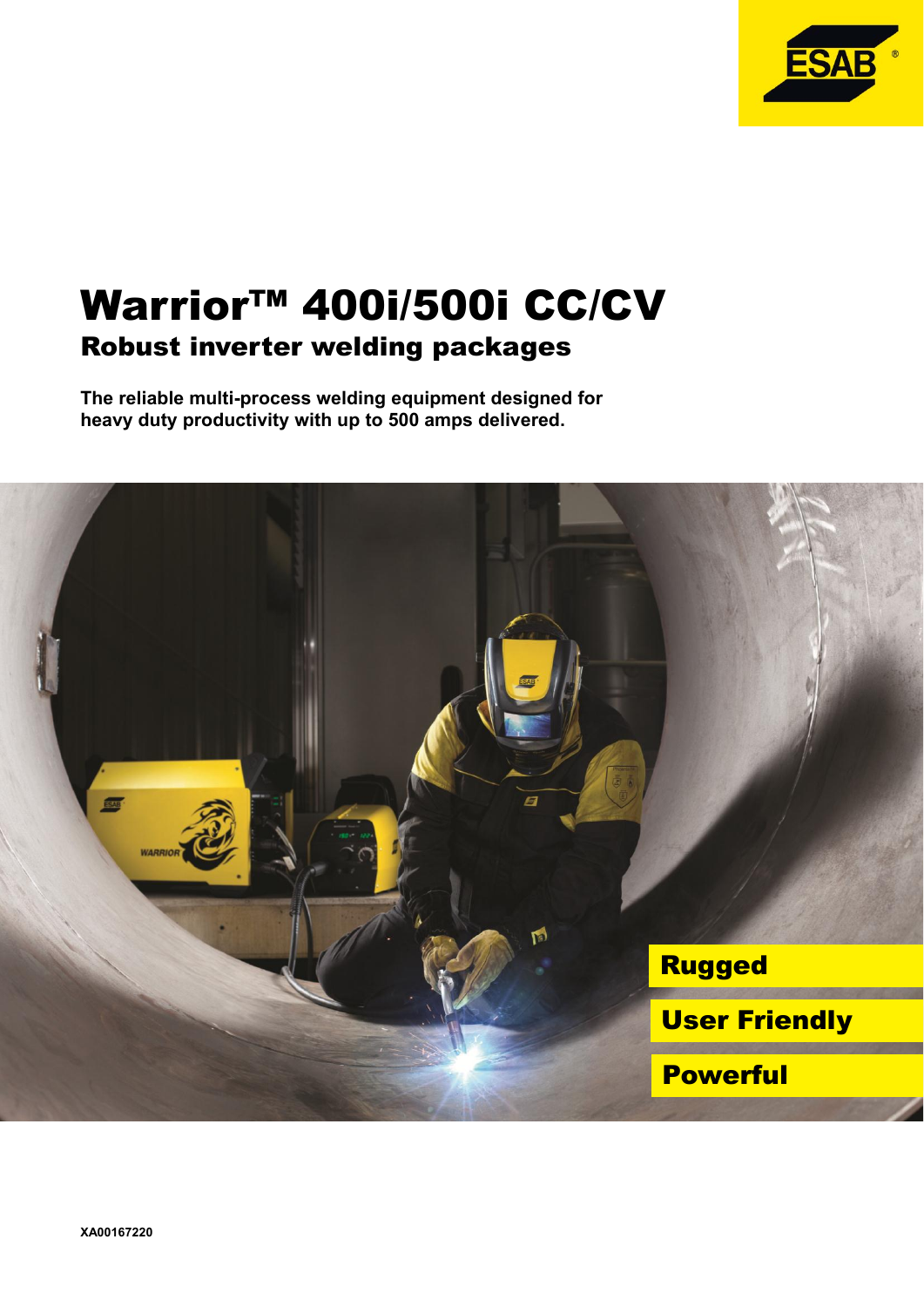

# Warrior™ 400i/500i CC/CV Robust inverter welding packages

**The reliable multi-process welding equipment designed for heavy duty productivity with up to 500 amps delivered.**